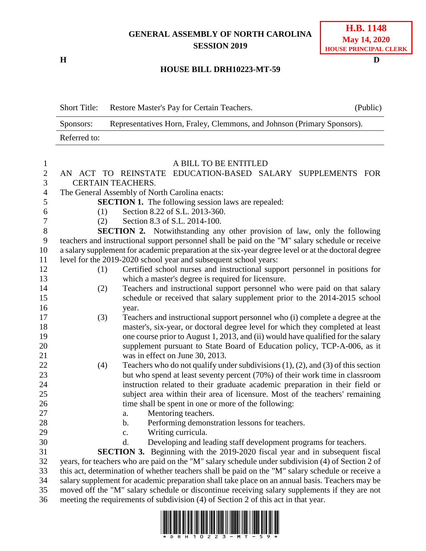## **GENERAL ASSEMBLY OF NORTH CAROLINA SESSION 2019**

**H D**

## **HOUSE BILL DRH10223-MT-59**

|                  | <b>Short Title:</b>                                                                                                                                                                              | Restore Master's Pay for Certain Teachers.                                                          | (Public) |
|------------------|--------------------------------------------------------------------------------------------------------------------------------------------------------------------------------------------------|-----------------------------------------------------------------------------------------------------|----------|
|                  | Representatives Horn, Fraley, Clemmons, and Johnson (Primary Sponsors).<br>Sponsors:                                                                                                             |                                                                                                     |          |
|                  | Referred to:                                                                                                                                                                                     |                                                                                                     |          |
|                  |                                                                                                                                                                                                  |                                                                                                     |          |
| $\mathbf{1}$     |                                                                                                                                                                                                  | A BILL TO BE ENTITLED                                                                               |          |
| $\mathbf{2}$     | AN                                                                                                                                                                                               | EDUCATION-BASED SALARY SUPPLEMENTS FOR<br>ACT TO REINSTATE                                          |          |
| $\mathfrak{Z}$   | <b>CERTAIN TEACHERS.</b>                                                                                                                                                                         |                                                                                                     |          |
| $\overline{4}$   | The General Assembly of North Carolina enacts:                                                                                                                                                   |                                                                                                     |          |
| 5                |                                                                                                                                                                                                  | <b>SECTION 1.</b> The following session laws are repealed:                                          |          |
| 6                | (1)                                                                                                                                                                                              | Section 8.22 of S.L. 2013-360.                                                                      |          |
| $\boldsymbol{7}$ | (2)                                                                                                                                                                                              | Section 8.3 of S.L. 2014-100.                                                                       |          |
| $\,8\,$          |                                                                                                                                                                                                  | <b>SECTION 2.</b> Notwithstanding any other provision of law, only the following                    |          |
| 9                | teachers and instructional support personnel shall be paid on the "M" salary schedule or receive                                                                                                 |                                                                                                     |          |
| 10               |                                                                                                                                                                                                  | a salary supplement for academic preparation at the six-year degree level or at the doctoral degree |          |
| 11               |                                                                                                                                                                                                  | level for the 2019-2020 school year and subsequent school years:                                    |          |
| 12               | (1)                                                                                                                                                                                              | Certified school nurses and instructional support personnel in positions for                        |          |
| 13               |                                                                                                                                                                                                  | which a master's degree is required for licensure.                                                  |          |
| 14               | (2)                                                                                                                                                                                              | Teachers and instructional support personnel who were paid on that salary                           |          |
| 15               |                                                                                                                                                                                                  | schedule or received that salary supplement prior to the 2014-2015 school                           |          |
| 16               |                                                                                                                                                                                                  | year.                                                                                               |          |
| 17               | (3)                                                                                                                                                                                              | Teachers and instructional support personnel who (i) complete a degree at the                       |          |
| 18               |                                                                                                                                                                                                  | master's, six-year, or doctoral degree level for which they completed at least                      |          |
| 19               |                                                                                                                                                                                                  | one course prior to August 1, 2013, and (ii) would have qualified for the salary                    |          |
| 20               |                                                                                                                                                                                                  | supplement pursuant to State Board of Education policy, TCP-A-006, as it                            |          |
| 21               |                                                                                                                                                                                                  | was in effect on June 30, 2013.                                                                     |          |
| 22               | (4)                                                                                                                                                                                              | Teachers who do not qualify under subdivisions $(1)$ , $(2)$ , and $(3)$ of this section            |          |
| 23               |                                                                                                                                                                                                  | but who spend at least seventy percent (70%) of their work time in classroom                        |          |
| 24               |                                                                                                                                                                                                  | instruction related to their graduate academic preparation in their field or                        |          |
| 25               |                                                                                                                                                                                                  | subject area within their area of licensure. Most of the teachers' remaining                        |          |
| 26               |                                                                                                                                                                                                  | time shall be spent in one or more of the following:                                                |          |
| 27               |                                                                                                                                                                                                  | Mentoring teachers.<br>a.                                                                           |          |
| 28               |                                                                                                                                                                                                  | Performing demonstration lessons for teachers.<br>b.                                                |          |
| 29               |                                                                                                                                                                                                  | Writing curricula.<br>c.                                                                            |          |
| 30               |                                                                                                                                                                                                  | Developing and leading staff development programs for teachers.<br>d.                               |          |
| 31               |                                                                                                                                                                                                  | SECTION 3. Beginning with the 2019-2020 fiscal year and in subsequent fiscal                        |          |
| 32               | years, for teachers who are paid on the "M" salary schedule under subdivision (4) of Section 2 of                                                                                                |                                                                                                     |          |
| 33               | this act, determination of whether teachers shall be paid on the "M" salary schedule or receive a                                                                                                |                                                                                                     |          |
| 34<br>35         | salary supplement for academic preparation shall take place on an annual basis. Teachers may be<br>moved off the "M" salary schedule or discontinue receiving salary supplements if they are not |                                                                                                     |          |
|                  |                                                                                                                                                                                                  |                                                                                                     |          |
| 36               | meeting the requirements of subdivision (4) of Section 2 of this act in that year.                                                                                                               |                                                                                                     |          |